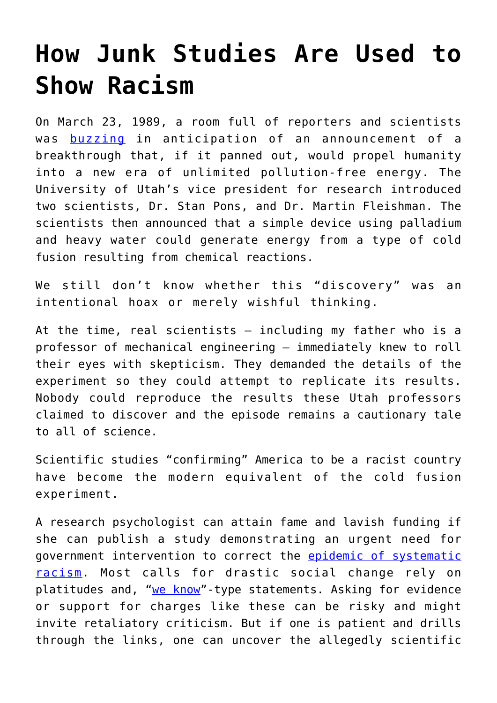## **[How Junk Studies Are Used to](https://intellectualtakeout.org/2020/07/how-junk-studies-are-used-to-show-racism/) [Show Racism](https://intellectualtakeout.org/2020/07/how-junk-studies-are-used-to-show-racism/)**

On March 23, 1989, a room full of reporters and scientists was **[buzzing](https://www.youtube.com/watch?v=6CfHaeQo6oU)** in anticipation of an announcement of a breakthrough that, if it panned out, would propel humanity into a new era of unlimited pollution-free energy. The University of Utah's vice president for research introduced two scientists, Dr. Stan Pons, and Dr. Martin Fleishman. The scientists then announced that a simple device using palladium and heavy water could generate energy from a type of cold fusion resulting from chemical reactions.

We still don't know whether this "discovery" was an intentional hoax or merely wishful thinking.

At the time, real scientists – including my father who is a professor of mechanical engineering – immediately knew to roll their eyes with skepticism. They demanded the details of the experiment so they could attempt to replicate its results. Nobody could reproduce the results these Utah professors claimed to discover and the episode remains a cautionary tale to all of science.

Scientific studies "confirming" America to be a racist country have become the modern equivalent of the cold fusion experiment.

A research psychologist can attain fame and lavish funding if she can publish a study demonstrating an urgent need for government intervention to correct the [epidemic of systematic](https://www.devex.com/news/opinion-a-new-day-solving-the-other-epidemic-of-systemic-racism-97437) [racism.](https://www.devex.com/news/opinion-a-new-day-solving-the-other-epidemic-of-systemic-racism-97437) Most calls for drastic social change rely on platitudes and, ["we know](https://news.harvard.edu/gazette/story/2020/06/orlando-patterson-explains-why-america-cant-escape-its-racist-roots/)"-type statements. Asking for evidence or support for charges like these can be risky and might invite retaliatory criticism. But if one is patient and drills through the links, one can uncover the allegedly scientific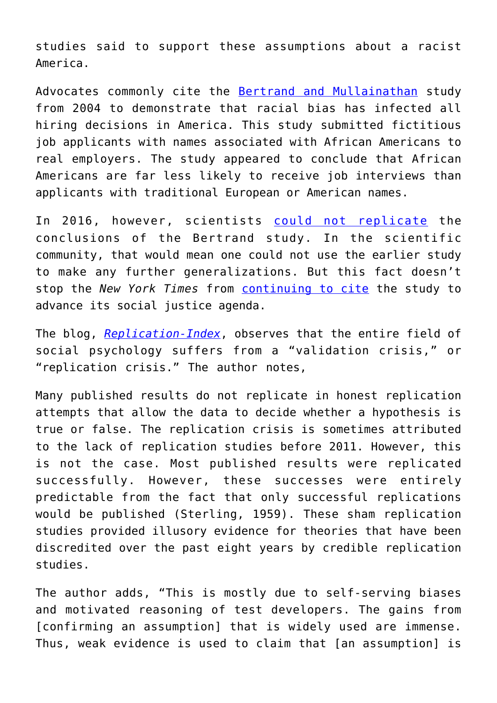studies said to support these assumptions about a racist America.

Advocates commonly cite the [Bertrand and Mullainathan](https://www.aeaweb.org/articles?id=10.1257/0002828042002561) study from 2004 to demonstrate that racial bias has infected all hiring decisions in America. This study submitted fictitious job applicants with names associated with African Americans to real employers. The study appeared to conclude that African Americans are far less likely to receive job interviews than applicants with traditional European or American names.

In 2016, however, scientists [could not replicate](http://datacolada.org/51) the conclusions of the Bertrand study. In the scientific community, that would mean one could not use the earlier study to make any further generalizations. But this fact doesn't stop the *New York Times* from [continuing to cite](https://www.nytimes.com/2019/12/06/business/algorithm-bias-fix.html) the study to advance its social justice agenda.

The blog, *[Replication-Index](https://replicationindex.com/2019/02/16/the-validation-crisis-in-psychology/)*, observes that the entire field of social psychology suffers from a "validation crisis," or "replication crisis." The author notes,

Many published results do not replicate in honest replication attempts that allow the data to decide whether a hypothesis is true or false. The replication crisis is sometimes attributed to the lack of replication studies before 2011. However, this is not the case. Most published results were replicated successfully. However, these successes were entirely predictable from the fact that only successful replications would be published (Sterling, 1959). These sham replication studies provided illusory evidence for theories that have been discredited over the past eight years by credible replication studies.

The author adds, "This is mostly due to self-serving biases and motivated reasoning of test developers. The gains from [confirming an assumption] that is widely used are immense. Thus, weak evidence is used to claim that [an assumption] is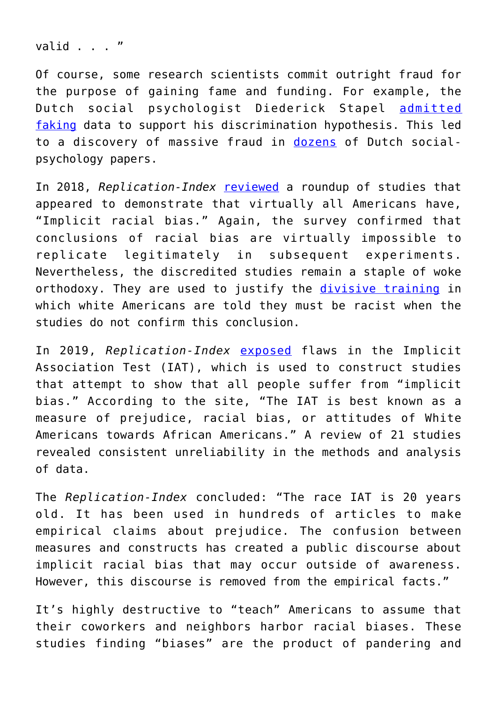valid . . . "

Of course, some research scientists commit outright fraud for the purpose of gaining fame and funding. For example, the Dutch social psychologist Diederick Stapel [admitted](http://blogs.nature.com/news/2011/12/stapel.html) [faking](http://blogs.nature.com/news/2011/12/stapel.html) data to support his discrimination hypothesis. This led to a discovery of massive fraud in [dozens](https://www.nature.com/articles/479015a) of Dutch socialpsychology papers.

In 2018, *Replication-Index* [reviewed](https://replicationindex.com/2018/04/19/implicit-racism-starbucks-and-the-failure-of-experimental-social-psychology/) a roundup of studies that appeared to demonstrate that virtually all Americans have, "Implicit racial bias." Again, the survey confirmed that conclusions of racial bias are virtually impossible to replicate legitimately in subsequent experiments. Nevertheless, the discredited studies remain a staple of woke orthodoxy. They are used to justify the [divisive training](https://disrn.com/news/city-of-seattle-forced-white-employees-to-attend-racial-marxist-re-education-seminars) in which white Americans are told they must be racist when the studies do not confirm this conclusion.

In 2019, *Replication-Index* [exposed](https://replicationindex.com/2019/02/06/the-race-iat-a-case-study-of-the-validity-crisis-in-psychology/) flaws in the Implicit Association Test (IAT), which is used to construct studies that attempt to show that all people suffer from "implicit bias." According to the site, "The IAT is best known as a measure of prejudice, racial bias, or attitudes of White Americans towards African Americans." A review of 21 studies revealed consistent unreliability in the methods and analysis of data.

The *Replication-Index* concluded: "The race IAT is 20 years old. It has been used in hundreds of articles to make empirical claims about prejudice. The confusion between measures and constructs has created a public discourse about implicit racial bias that may occur outside of awareness. However, this discourse is removed from the empirical facts."

It's highly destructive to "teach" Americans to assume that their coworkers and neighbors harbor racial biases. These studies finding "biases" are the product of pandering and